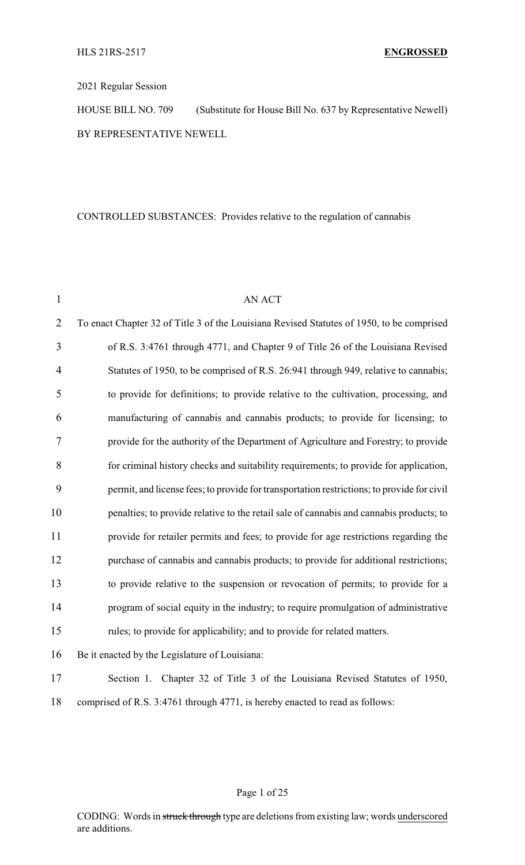### 2021 Regular Session

HOUSE BILL NO. 709 (Substitute for House Bill No. 637 by Representative Newell) BY REPRESENTATIVE NEWELL

## CONTROLLED SUBSTANCES: Provides relative to the regulation of cannabis

| $\mathbf{1}$   | <b>AN ACT</b>                                                                              |
|----------------|--------------------------------------------------------------------------------------------|
| $\overline{2}$ | To enact Chapter 32 of Title 3 of the Louisiana Revised Statutes of 1950, to be comprised  |
| 3              | of R.S. 3:4761 through 4771, and Chapter 9 of Title 26 of the Louisiana Revised            |
| $\overline{4}$ | Statutes of 1950, to be comprised of R.S. 26:941 through 949, relative to cannabis;        |
| 5              | to provide for definitions; to provide relative to the cultivation, processing, and        |
| 6              | manufacturing of cannabis and cannabis products; to provide for licensing; to              |
| 7              | provide for the authority of the Department of Agriculture and Forestry; to provide        |
| 8              | for criminal history checks and suitability requirements; to provide for application,      |
| 9              | permit, and license fees; to provide for transportation restrictions; to provide for civil |
| 10             | penalties; to provide relative to the retail sale of cannabis and cannabis products; to    |
| 11             | provide for retailer permits and fees; to provide for age restrictions regarding the       |
| 12             | purchase of cannabis and cannabis products; to provide for additional restrictions;        |
| 13             | to provide relative to the suspension or revocation of permits; to provide for a           |
| 14             | program of social equity in the industry; to require promulgation of administrative        |
| 15             | rules; to provide for applicability; and to provide for related matters.                   |
| 16             | Be it enacted by the Legislature of Louisiana:                                             |
| 17             | Section 1. Chapter 32 of Title 3 of the Louisiana Revised Statutes of 1950,                |
| 18             | comprised of R.S. 3:4761 through 4771, is hereby enacted to read as follows:               |
|                |                                                                                            |

### Page 1 of 25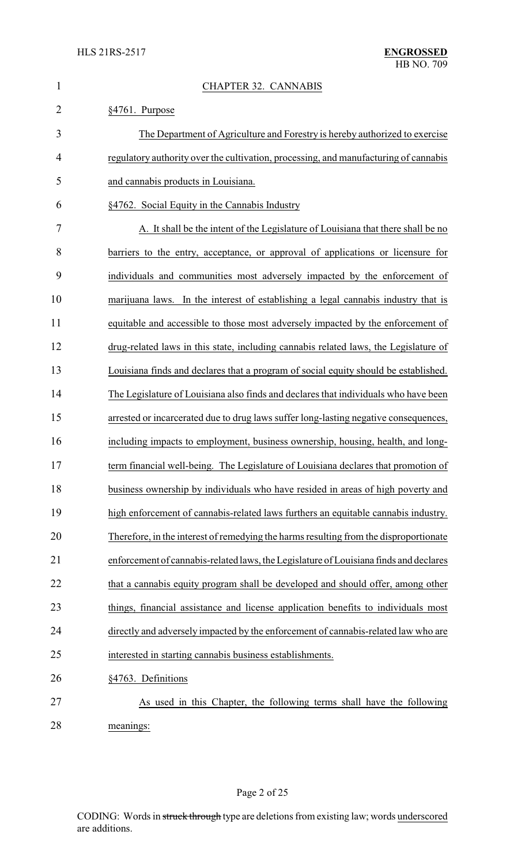| $\mathbf{1}$   | <b>CHAPTER 32. CANNABIS</b>                                                           |
|----------------|---------------------------------------------------------------------------------------|
| $\overline{2}$ | §4761. Purpose                                                                        |
| 3              | The Department of Agriculture and Forestry is hereby authorized to exercise           |
| $\overline{4}$ | regulatory authority over the cultivation, processing, and manufacturing of cannabis  |
| 5              | and cannabis products in Louisiana.                                                   |
| 6              | §4762. Social Equity in the Cannabis Industry                                         |
| 7              | A. It shall be the intent of the Legislature of Louisiana that there shall be no      |
| 8              | barriers to the entry, acceptance, or approval of applications or licensure for       |
| 9              | individuals and communities most adversely impacted by the enforcement of             |
| 10             | marijuana laws. In the interest of establishing a legal cannabis industry that is     |
| 11             | equitable and accessible to those most adversely impacted by the enforcement of       |
| 12             | drug-related laws in this state, including cannabis related laws, the Legislature of  |
| 13             | Louisiana finds and declares that a program of social equity should be established.   |
| 14             | The Legislature of Louisiana also finds and declares that individuals who have been   |
| 15             | arrested or incarcerated due to drug laws suffer long-lasting negative consequences,  |
| 16             | including impacts to employment, business ownership, housing, health, and long-       |
| 17             | term financial well-being. The Legislature of Louisiana declares that promotion of    |
| 18             | business ownership by individuals who have resided in areas of high poverty and       |
| 19             | high enforcement of cannabis-related laws furthers an equitable cannabis industry.    |
| 20             | Therefore, in the interest of remedying the harms resulting from the disproportionate |
| 21             | enforcement of cannabis-related laws, the Legislature of Louisiana finds and declares |
| 22             | that a cannabis equity program shall be developed and should offer, among other       |
| 23             | things, financial assistance and license application benefits to individuals most     |
| 24             | directly and adversely impacted by the enforcement of cannabis-related law who are    |
| 25             | interested in starting cannabis business establishments.                              |
| 26             | §4763. Definitions                                                                    |
| 27             | As used in this Chapter, the following terms shall have the following                 |
|                |                                                                                       |

meanings: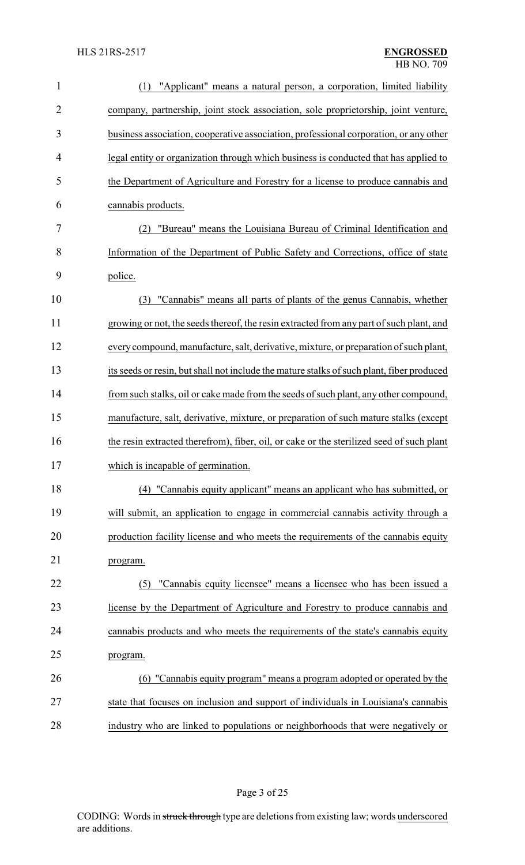| 1              | "Applicant" means a natural person, a corporation, limited liability<br>(1)               |
|----------------|-------------------------------------------------------------------------------------------|
| $\overline{2}$ | company, partnership, joint stock association, sole proprietorship, joint venture,        |
| 3              | business association, cooperative association, professional corporation, or any other     |
| 4              | legal entity or organization through which business is conducted that has applied to      |
| 5              | the Department of Agriculture and Forestry for a license to produce cannabis and          |
| 6              | cannabis products.                                                                        |
| 7              | "Bureau" means the Louisiana Bureau of Criminal Identification and                        |
| 8              | Information of the Department of Public Safety and Corrections, office of state           |
| 9              | police.                                                                                   |
| 10             | "Cannabis" means all parts of plants of the genus Cannabis, whether<br>(3)                |
| 11             | growing or not, the seeds thereof, the resin extracted from any part of such plant, and   |
| 12             | every compound, manufacture, salt, derivative, mixture, or preparation of such plant,     |
| 13             | its seeds or resin, but shall not include the mature stalks of such plant, fiber produced |
| 14             | from such stalks, oil or cake made from the seeds of such plant, any other compound,      |
| 15             | manufacture, salt, derivative, mixture, or preparation of such mature stalks (except      |
| 16             | the resin extracted therefrom), fiber, oil, or cake or the sterilized seed of such plant  |
| 17             | which is incapable of germination.                                                        |
| 18             | (4) "Cannabis equity applicant" means an applicant who has submitted, or                  |
| 19             | will submit, an application to engage in commercial cannabis activity through a           |
| 20             | production facility license and who meets the requirements of the cannabis equity         |
| 21             | program.                                                                                  |
| 22             | "Cannabis equity licensee" means a licensee who has been issued a<br>(5)                  |
| 23             | license by the Department of Agriculture and Forestry to produce cannabis and             |
| 24             | cannabis products and who meets the requirements of the state's cannabis equity           |
| 25             | program.                                                                                  |
| 26             | (6) "Cannabis equity program" means a program adopted or operated by the                  |
| 27             | state that focuses on inclusion and support of individuals in Louisiana's cannabis        |
| 28             | industry who are linked to populations or neighborhoods that were negatively or           |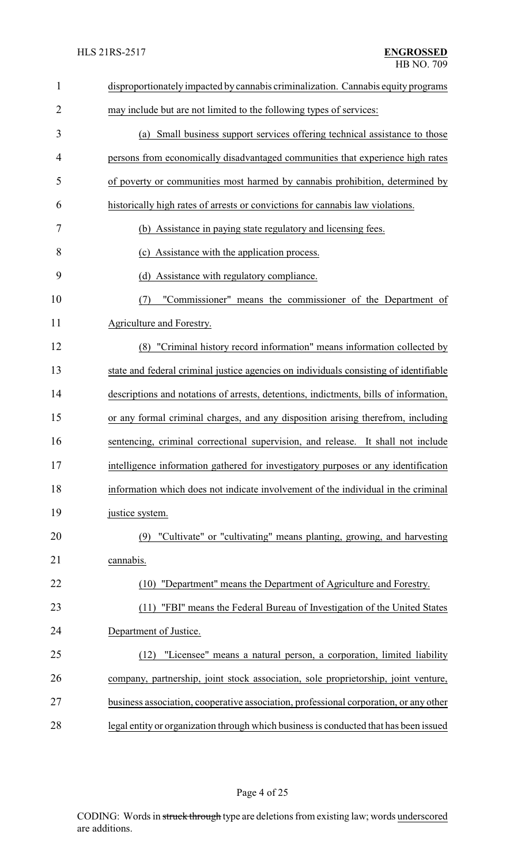| $\mathbf{1}$   | disproportionately impacted by cannabis criminalization. Cannabis equity programs     |
|----------------|---------------------------------------------------------------------------------------|
| $\overline{2}$ | may include but are not limited to the following types of services:                   |
| 3              | (a) Small business support services offering technical assistance to those            |
| 4              | persons from economically disadvantaged communities that experience high rates        |
| 5              | of poverty or communities most harmed by cannabis prohibition, determined by          |
| 6              | historically high rates of arrests or convictions for cannabis law violations.        |
| 7              | (b) Assistance in paying state regulatory and licensing fees.                         |
| 8              | (c) Assistance with the application process.                                          |
| 9              | (d) Assistance with regulatory compliance.                                            |
| 10             | "Commissioner" means the commissioner of the Department of<br>(7)                     |
| 11             | Agriculture and Forestry.                                                             |
| 12             | (8) "Criminal history record information" means information collected by              |
| 13             | state and federal criminal justice agencies on individuals consisting of identifiable |
| 14             | descriptions and notations of arrests, detentions, indictments, bills of information, |
| 15             | or any formal criminal charges, and any disposition arising therefrom, including      |
| 16             | sentencing, criminal correctional supervision, and release. It shall not include      |
| 17             | intelligence information gathered for investigatory purposes or any identification    |
| 18             | information which does not indicate involvement of the individual in the criminal     |
| 19             | justice system.                                                                       |
| 20             | (9) "Cultivate" or "cultivating" means planting, growing, and harvesting              |
| 21             | cannabis.                                                                             |
| 22             | (10) "Department" means the Department of Agriculture and Forestry.                   |
| 23             | "FBI" means the Federal Bureau of Investigation of the United States<br>(11)          |
| 24             | Department of Justice.                                                                |
| 25             | "Licensee" means a natural person, a corporation, limited liability<br>(12)           |
| 26             | company, partnership, joint stock association, sole proprietorship, joint venture,    |
| 27             | business association, cooperative association, professional corporation, or any other |
| 28             | legal entity or organization through which business is conducted that has been issued |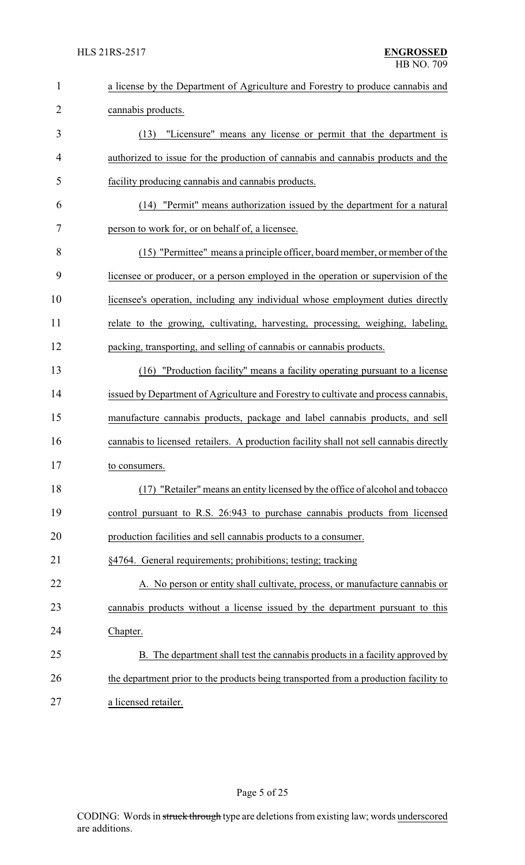| $\mathbf{1}$   | a license by the Department of Agriculture and Forestry to produce cannabis and        |
|----------------|----------------------------------------------------------------------------------------|
| $\overline{2}$ | cannabis products.                                                                     |
| 3              | "Licensure" means any license or permit that the department is<br>(13)                 |
| 4              | authorized to issue for the production of cannabis and cannabis products and the       |
| 5              | facility producing cannabis and cannabis products.                                     |
| 6              | (14) "Permit" means authorization issued by the department for a natural               |
| 7              | person to work for, or on behalf of, a licensee.                                       |
| 8              | (15) "Permittee" means a principle officer, board member, or member of the             |
| 9              | licensee or producer, or a person employed in the operation or supervision of the      |
| 10             | licensee's operation, including any individual whose employment duties directly        |
| 11             | relate to the growing, cultivating, harvesting, processing, weighing, labeling,        |
| 12             | packing, transporting, and selling of cannabis or cannabis products.                   |
| 13             | "Production facility" means a facility operating pursuant to a license<br>(16)         |
| 14             | issued by Department of Agriculture and Forestry to cultivate and process cannabis,    |
| 15             | manufacture cannabis products, package and label cannabis products, and sell           |
| 16             | cannabis to licensed retailers. A production facility shall not sell cannabis directly |
| 17             | to consumers.                                                                          |
| 18             | (17) "Retailer" means an entity licensed by the office of alcohol and tobacco          |
| 19             | control pursuant to R.S. 26:943 to purchase cannabis products from licensed            |
| 20             | production facilities and sell cannabis products to a consumer.                        |
| 21             | §4764. General requirements; prohibitions; testing; tracking                           |
| 22             | A. No person or entity shall cultivate, process, or manufacture cannabis or            |
| 23             | cannabis products without a license issued by the department pursuant to this          |
| 24             | Chapter.                                                                               |
| 25             | B. The department shall test the cannabis products in a facility approved by           |
| 26             | the department prior to the products being transported from a production facility to   |
| 27             | a licensed retailer.                                                                   |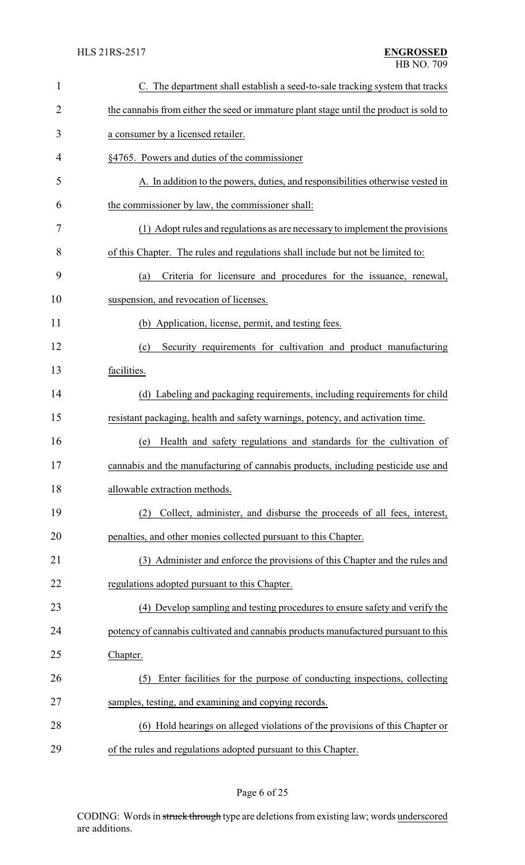| $\mathbf{1}$   | C. The department shall establish a seed-to-sale tracking system that tracks           |
|----------------|----------------------------------------------------------------------------------------|
| $\overline{2}$ | the cannabis from either the seed or immature plant stage until the product is sold to |
| 3              | a consumer by a licensed retailer.                                                     |
| 4              | §4765. Powers and duties of the commissioner                                           |
| 5              | A. In addition to the powers, duties, and responsibilities otherwise vested in         |
| 6              | the commissioner by law, the commissioner shall:                                       |
| 7              | (1) Adopt rules and regulations as are necessary to implement the provisions           |
| 8              | of this Chapter. The rules and regulations shall include but not be limited to:        |
| 9              | Criteria for licensure and procedures for the issuance, renewal,<br>(a)                |
| 10             | suspension, and revocation of licenses.                                                |
| 11             | (b) Application, license, permit, and testing fees.                                    |
| 12             | Security requirements for cultivation and product manufacturing<br>(c)                 |
| 13             | facilities.                                                                            |
| 14             | (d) Labeling and packaging requirements, including requirements for child              |
| 15             | resistant packaging, health and safety warnings, potency, and activation time.         |
| 16             | Health and safety regulations and standards for the cultivation of<br>(e)              |
| 17             | cannabis and the manufacturing of cannabis products, including pesticide use and       |
| 18             | allowable extraction methods.                                                          |
| 19             | Collect, administer, and disburse the proceeds of all fees, interest,<br>(2)           |
| 20             | penalties, and other monies collected pursuant to this Chapter.                        |
| 21             | (3) Administer and enforce the provisions of this Chapter and the rules and            |
| 22             | regulations adopted pursuant to this Chapter.                                          |
| 23             | (4) Develop sampling and testing procedures to ensure safety and verify the            |
| 24             | potency of cannabis cultivated and cannabis products manufactured pursuant to this     |
| 25             | Chapter.                                                                               |
| 26             | Enter facilities for the purpose of conducting inspections, collecting<br>(5)          |
| 27             | samples, testing, and examining and copying records.                                   |
| 28             | (6) Hold hearings on alleged violations of the provisions of this Chapter or           |
| 29             | of the rules and regulations adopted pursuant to this Chapter.                         |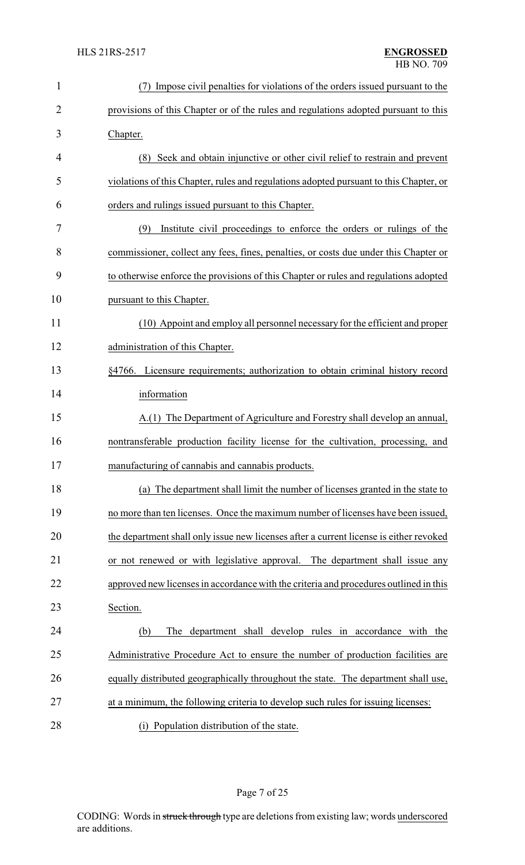| $\mathbf{1}$   | Impose civil penalties for violations of the orders issued pursuant to the             |
|----------------|----------------------------------------------------------------------------------------|
| $\overline{2}$ | provisions of this Chapter or of the rules and regulations adopted pursuant to this    |
| 3              | Chapter.                                                                               |
| 4              | (8) Seek and obtain injunctive or other civil relief to restrain and prevent           |
| 5              | violations of this Chapter, rules and regulations adopted pursuant to this Chapter, or |
| 6              | orders and rulings issued pursuant to this Chapter.                                    |
| 7              | Institute civil proceedings to enforce the orders or rulings of the<br>(9)             |
| 8              | commissioner, collect any fees, fines, penalties, or costs due under this Chapter or   |
| 9              | to otherwise enforce the provisions of this Chapter or rules and regulations adopted   |
| 10             | pursuant to this Chapter.                                                              |
| 11             | (10) Appoint and employ all personnel necessary for the efficient and proper           |
| 12             | administration of this Chapter.                                                        |
| 13             | §4766. Licensure requirements; authorization to obtain criminal history record         |
| 14             | information                                                                            |
| 15             | A.(1) The Department of Agriculture and Forestry shall develop an annual,              |
| 16             | nontransferable production facility license for the cultivation, processing, and       |
| 17             | manufacturing of cannabis and cannabis products.                                       |
| 18             | (a) The department shall limit the number of licenses granted in the state to          |
| 19             | no more than ten licenses. Once the maximum number of licenses have been issued,       |
| 20             | the department shall only issue new licenses after a current license is either revoked |
| 21             | or not renewed or with legislative approval. The department shall issue any            |
| 22             | approved new licenses in accordance with the criteria and procedures outlined in this  |
| 23             | Section.                                                                               |
| 24             | The department shall develop rules in accordance with the<br>(b)                       |
| 25             | Administrative Procedure Act to ensure the number of production facilities are         |
| 26             | equally distributed geographically throughout the state. The department shall use,     |
| 27             | at a minimum, the following criteria to develop such rules for issuing licenses:       |
| 28             | (i) Population distribution of the state.                                              |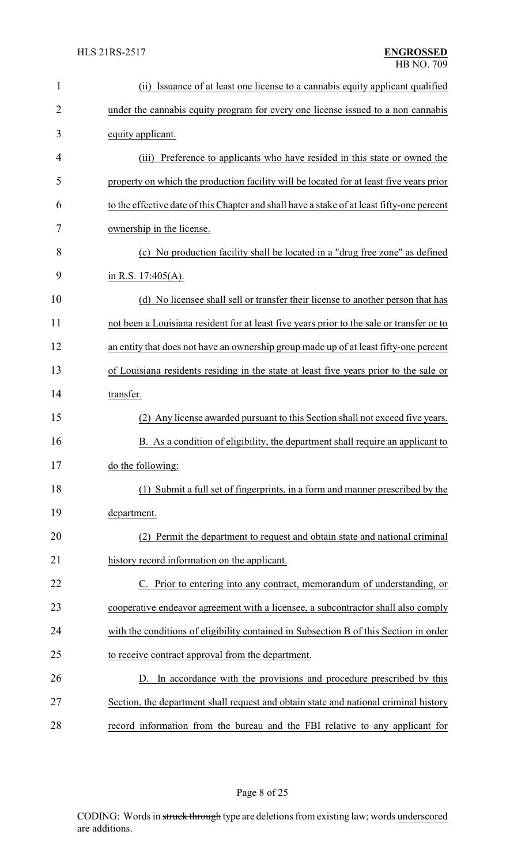| $\mathbf{1}$   | (ii) Issuance of at least one license to a cannabis equity applicant qualified             |
|----------------|--------------------------------------------------------------------------------------------|
| $\overline{2}$ | under the cannabis equity program for every one license issued to a non cannabis           |
| 3              | equity applicant.                                                                          |
| 4              | Preference to applicants who have resided in this state or owned the<br>(iii)              |
| 5              | property on which the production facility will be located for at least five years prior    |
| 6              | to the effective date of this Chapter and shall have a stake of at least fifty-one percent |
| 7              | ownership in the license.                                                                  |
| 8              | (c) No production facility shall be located in a "drug free zone" as defined               |
| 9              | in R.S. $17:405(A)$ .                                                                      |
| 10             | (d) No licensee shall sell or transfer their license to another person that has            |
| 11             | not been a Louisiana resident for at least five years prior to the sale or transfer or to  |
| 12             | an entity that does not have an ownership group made up of at least fifty-one percent      |
| 13             | of Louisiana residents residing in the state at least five years prior to the sale or      |
| 14             | transfer.                                                                                  |
| 15             | (2) Any license awarded pursuant to this Section shall not exceed five years.              |
| 16             | B. As a condition of eligibility, the department shall require an applicant to             |
| 17             | do the following:                                                                          |
| 18             | (1) Submit a full set of fingerprints, in a form and manner prescribed by the              |
| 19             | department.                                                                                |
| 20             | (2) Permit the department to request and obtain state and national criminal                |
| 21             | history record information on the applicant.                                               |
| 22             | C. Prior to entering into any contract, memorandum of understanding, or                    |
| 23             | cooperative endeavor agreement with a licensee, a subcontractor shall also comply          |
| 24             | with the conditions of eligibility contained in Subsection B of this Section in order      |
| 25             | to receive contract approval from the department.                                          |
| 26             | D. In accordance with the provisions and procedure prescribed by this                      |
| 27             | Section, the department shall request and obtain state and national criminal history       |
| 28             | record information from the bureau and the FBI relative to any applicant for               |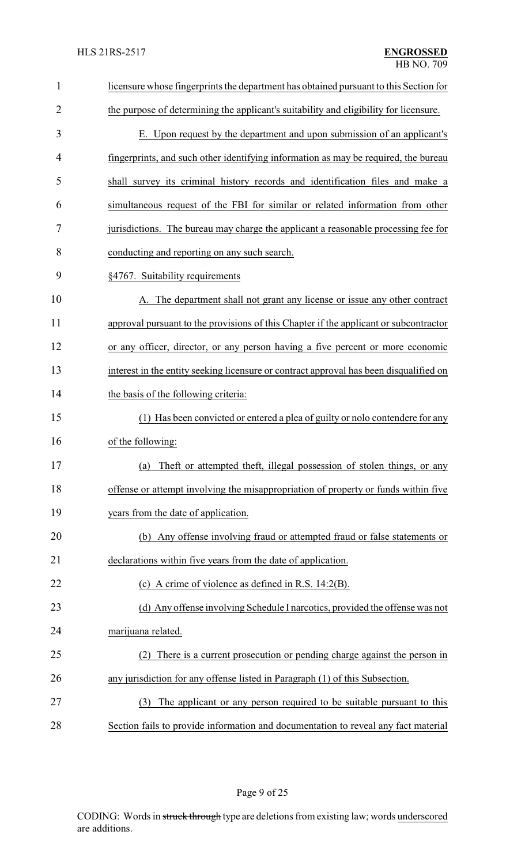| $\mathbf{1}$   | licensure whose fingerprints the department has obtained pursuant to this Section for  |
|----------------|----------------------------------------------------------------------------------------|
| $\overline{2}$ | the purpose of determining the applicant's suitability and eligibility for licensure.  |
| 3              | E. Upon request by the department and upon submission of an applicant's                |
| 4              | fingerprints, and such other identifying information as may be required, the bureau    |
| 5              | shall survey its criminal history records and identification files and make a          |
| 6              | simultaneous request of the FBI for similar or related information from other          |
| 7              | jurisdictions. The bureau may charge the applicant a reasonable processing fee for     |
| 8              | conducting and reporting on any such search.                                           |
| 9              | §4767. Suitability requirements                                                        |
| 10             | A. The department shall not grant any license or issue any other contract              |
| 11             | approval pursuant to the provisions of this Chapter if the applicant or subcontractor  |
| 12             | or any officer, director, or any person having a five percent or more economic         |
| 13             | interest in the entity seeking licensure or contract approval has been disqualified on |
| 14             | the basis of the following criteria:                                                   |
| 15             | (1) Has been convicted or entered a plea of guilty or nolo contendere for any          |
| 16             | of the following:                                                                      |
| 17             | (a) Theft or attempted theft, illegal possession of stolen things, or any              |
| 18             | offense or attempt involving the misappropriation of property or funds within five     |
| 19             | years from the date of application.                                                    |
| 20             | (b) Any offense involving fraud or attempted fraud or false statements or              |
| 21             | declarations within five years from the date of application.                           |
| 22             | (c) A crime of violence as defined in R.S. $14:2(B)$ .                                 |
| 23             | (d) Any offense involving Schedule I narcotics, provided the offense was not           |
| 24             | marijuana related.                                                                     |
| 25             | There is a current prosecution or pending charge against the person in<br>(2)          |
| 26             | any jurisdiction for any offense listed in Paragraph (1) of this Subsection.           |
| 27             | The applicant or any person required to be suitable pursuant to this<br>(3)            |
| 28             | Section fails to provide information and documentation to reveal any fact material     |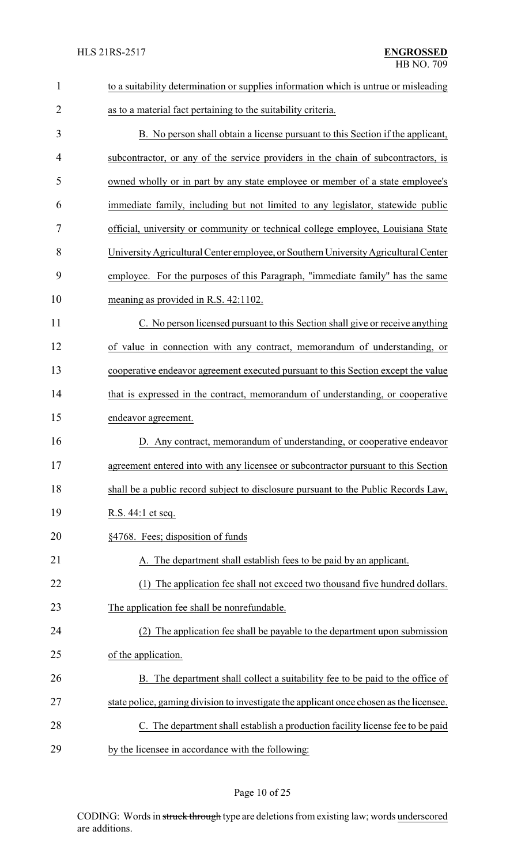| $\mathbf{1}$   | to a suitability determination or supplies information which is untrue or misleading    |
|----------------|-----------------------------------------------------------------------------------------|
| $\overline{2}$ | as to a material fact pertaining to the suitability criteria.                           |
| 3              | B. No person shall obtain a license pursuant to this Section if the applicant,          |
| 4              | subcontractor, or any of the service providers in the chain of subcontractors, is       |
| 5              | owned wholly or in part by any state employee or member of a state employee's           |
| 6              | immediate family, including but not limited to any legislator, statewide public         |
| 7              | official, university or community or technical college employee, Louisiana State        |
| 8              | University Agricultural Center employee, or Southern University Agricultural Center     |
| 9              | employee. For the purposes of this Paragraph, "immediate family" has the same           |
| 10             | meaning as provided in R.S. 42:1102.                                                    |
| 11             | C. No person licensed pursuant to this Section shall give or receive anything           |
| 12             | of value in connection with any contract, memorandum of understanding, or               |
| 13             | cooperative endeavor agreement executed pursuant to this Section except the value       |
| 14             | that is expressed in the contract, memorandum of understanding, or cooperative          |
| 15             | endeavor agreement.                                                                     |
| 16             | D. Any contract, memorandum of understanding, or cooperative endeavor                   |
| 17             | agreement entered into with any licensee or subcontractor pursuant to this Section      |
| 18             | shall be a public record subject to disclosure pursuant to the Public Records Law,      |
| 19             | R.S. 44:1 et seq.                                                                       |
| 20             | §4768. Fees; disposition of funds                                                       |
| 21             | A. The department shall establish fees to be paid by an applicant.                      |
| 22             | (1) The application fee shall not exceed two thousand five hundred dollars.             |
| 23             | The application fee shall be nonrefundable.                                             |
| 24             | The application fee shall be payable to the department upon submission                  |
| 25             | of the application.                                                                     |
| 26             | B. The department shall collect a suitability fee to be paid to the office of           |
| 27             | state police, gaming division to investigate the applicant once chosen as the licensee. |
| 28             | C. The department shall establish a production facility license fee to be paid          |
| 29             | by the licensee in accordance with the following:                                       |

# Page 10 of 25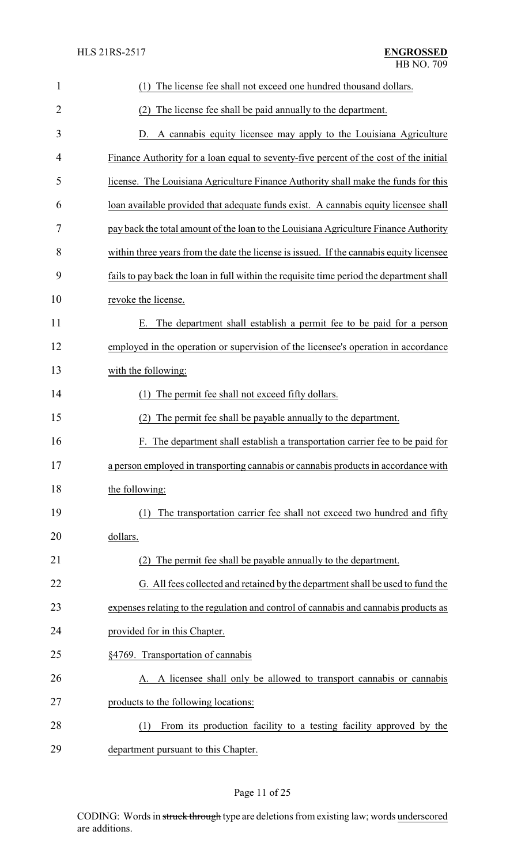| $\mathbf{1}$   | The license fee shall not exceed one hundred thousand dollars.<br>(1)                    |
|----------------|------------------------------------------------------------------------------------------|
| 2              | The license fee shall be paid annually to the department.<br>(2)                         |
| 3              | A cannabis equity licensee may apply to the Louisiana Agriculture<br>D.                  |
| $\overline{4}$ | Finance Authority for a loan equal to seventy-five percent of the cost of the initial    |
| 5              | license. The Louisiana Agriculture Finance Authority shall make the funds for this       |
| 6              | loan available provided that adequate funds exist. A cannabis equity licensee shall      |
| 7              | pay back the total amount of the loan to the Louisiana Agriculture Finance Authority     |
| 8              | within three years from the date the license is issued. If the cannabis equity licensee  |
| 9              | fails to pay back the loan in full within the requisite time period the department shall |
| 10             | revoke the license.                                                                      |
| 11             | The department shall establish a permit fee to be paid for a person<br>Е.                |
| 12             | employed in the operation or supervision of the licensee's operation in accordance       |
| 13             | with the following:                                                                      |
| 14             | The permit fee shall not exceed fifty dollars.<br>(1)                                    |
| 15             | The permit fee shall be payable annually to the department.<br>(2)                       |
| 16             | The department shall establish a transportation carrier fee to be paid for<br>F.         |
| 17             | a person employed in transporting cannabis or cannabis products in accordance with       |
| 18             | the following:                                                                           |
| 19             | The transportation carrier fee shall not exceed two hundred and fifty                    |
| 20             | dollars.                                                                                 |
| 21             | The permit fee shall be payable annually to the department.                              |
| 22             | G. All fees collected and retained by the department shall be used to fund the           |
| 23             | expenses relating to the regulation and control of cannabis and cannabis products as     |
| 24             | provided for in this Chapter.                                                            |
| 25             | §4769. Transportation of cannabis                                                        |
| 26             | A. A licensee shall only be allowed to transport cannabis or cannabis                    |
| 27             | products to the following locations:                                                     |
| 28             | From its production facility to a testing facility approved by the<br>(1)                |
| 29             | department pursuant to this Chapter.                                                     |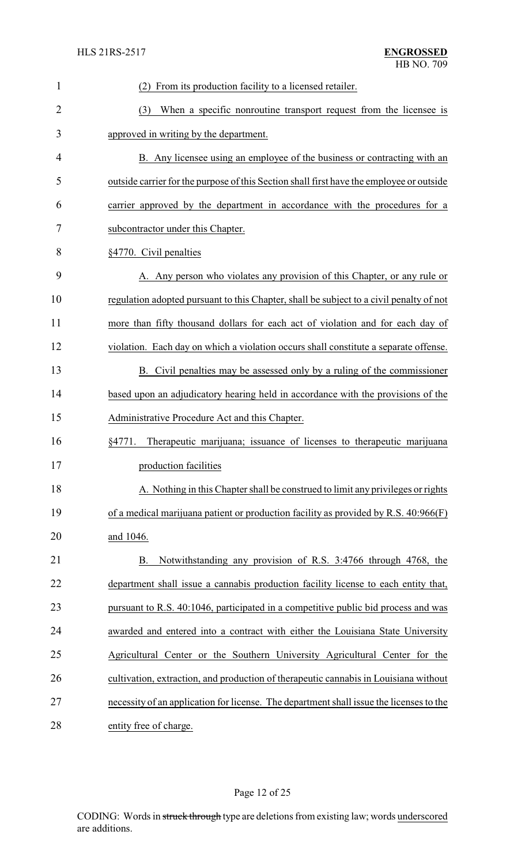| $\mathbf{1}$   | From its production facility to a licensed retailer.                                     |
|----------------|------------------------------------------------------------------------------------------|
| $\overline{2}$ | When a specific nonroutine transport request from the licensee is<br>(3)                 |
| 3              | approved in writing by the department.                                                   |
| 4              | B. Any licensee using an employee of the business or contracting with an                 |
| 5              | outside carrier for the purpose of this Section shall first have the employee or outside |
| 6              | carrier approved by the department in accordance with the procedures for a               |
| 7              | subcontractor under this Chapter.                                                        |
| 8              | §4770. Civil penalties                                                                   |
| 9              | A. Any person who violates any provision of this Chapter, or any rule or                 |
| 10             | regulation adopted pursuant to this Chapter, shall be subject to a civil penalty of not  |
| 11             | more than fifty thousand dollars for each act of violation and for each day of           |
| 12             | violation. Each day on which a violation occurs shall constitute a separate offense.     |
| 13             | B. Civil penalties may be assessed only by a ruling of the commissioner                  |
| 14             | based upon an adjudicatory hearing held in accordance with the provisions of the         |
| 15             | Administrative Procedure Act and this Chapter.                                           |
| 16             | Therapeutic marijuana; issuance of licenses to therapeutic marijuana<br>§4771.           |
| 17             | production facilities                                                                    |
| 18             | A. Nothing in this Chapter shall be construed to limit any privileges or rights          |
| 19             | of a medical marijuana patient or production facility as provided by R.S. 40:966(F)      |
| 20             | and 1046.                                                                                |
| 21             | Notwithstanding any provision of R.S. 3:4766 through 4768, the<br>B.                     |
| 22             | department shall issue a cannabis production facility license to each entity that,       |
| 23             | pursuant to R.S. 40:1046, participated in a competitive public bid process and was       |
| 24             | awarded and entered into a contract with either the Louisiana State University           |
| 25             | Agricultural Center or the Southern University Agricultural Center for the               |
| 26             | cultivation, extraction, and production of therapeutic cannabis in Louisiana without     |
| 27             | necessity of an application for license. The department shall issue the licenses to the  |
| 28             | entity free of charge.                                                                   |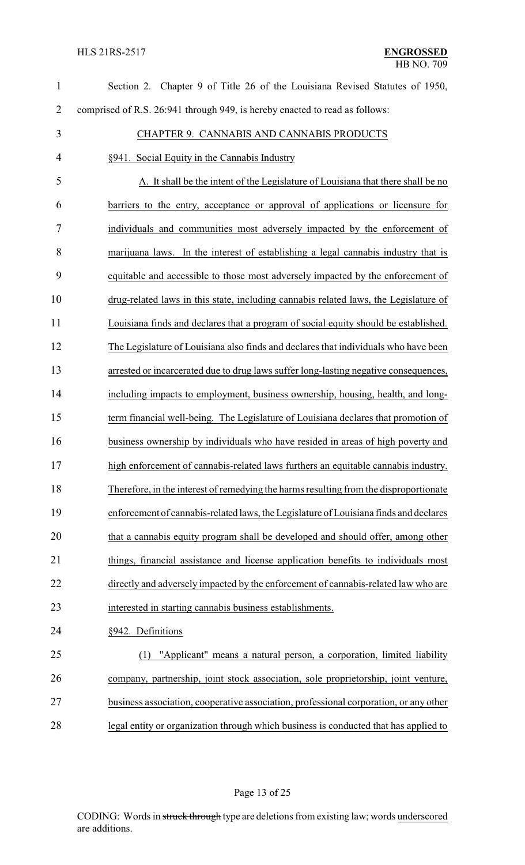| $\mathbf{1}$   | Section 2. Chapter 9 of Title 26 of the Louisiana Revised Statutes of 1950,           |  |
|----------------|---------------------------------------------------------------------------------------|--|
| $\overline{2}$ | comprised of R.S. 26:941 through 949, is hereby enacted to read as follows:           |  |
| 3              | CHAPTER 9. CANNABIS AND CANNABIS PRODUCTS                                             |  |
| 4              | §941. Social Equity in the Cannabis Industry                                          |  |
| 5              | A. It shall be the intent of the Legislature of Louisiana that there shall be no      |  |
| 6              | barriers to the entry, acceptance or approval of applications or licensure for        |  |
| 7              | individuals and communities most adversely impacted by the enforcement of             |  |
| 8              | marijuana laws. In the interest of establishing a legal cannabis industry that is     |  |
| 9              | equitable and accessible to those most adversely impacted by the enforcement of       |  |
| 10             | drug-related laws in this state, including cannabis related laws, the Legislature of  |  |
| 11             | Louisiana finds and declares that a program of social equity should be established.   |  |
| 12             | The Legislature of Louisiana also finds and declares that individuals who have been   |  |
| 13             | arrested or incarcerated due to drug laws suffer long-lasting negative consequences,  |  |
| 14             | including impacts to employment, business ownership, housing, health, and long-       |  |
| 15             | term financial well-being. The Legislature of Louisiana declares that promotion of    |  |
| 16             | business ownership by individuals who have resided in areas of high poverty and       |  |
| 17             | high enforcement of cannabis-related laws furthers an equitable cannabis industry.    |  |
| 18             | Therefore, in the interest of remedying the harms resulting from the disproportionate |  |
| 19             | enforcement of cannabis-related laws, the Legislature of Louisiana finds and declares |  |
| 20             | that a cannabis equity program shall be developed and should offer, among other       |  |
| 21             | things, financial assistance and license application benefits to individuals most     |  |
| 22             | directly and adversely impacted by the enforcement of cannabis-related law who are    |  |
| 23             | interested in starting cannabis business establishments.                              |  |
| 24             | §942. Definitions                                                                     |  |
| 25             | "Applicant" means a natural person, a corporation, limited liability<br>(1)           |  |
| 26             | company, partnership, joint stock association, sole proprietorship, joint venture,    |  |
| 27             | business association, cooperative association, professional corporation, or any other |  |
| 28             | legal entity or organization through which business is conducted that has applied to  |  |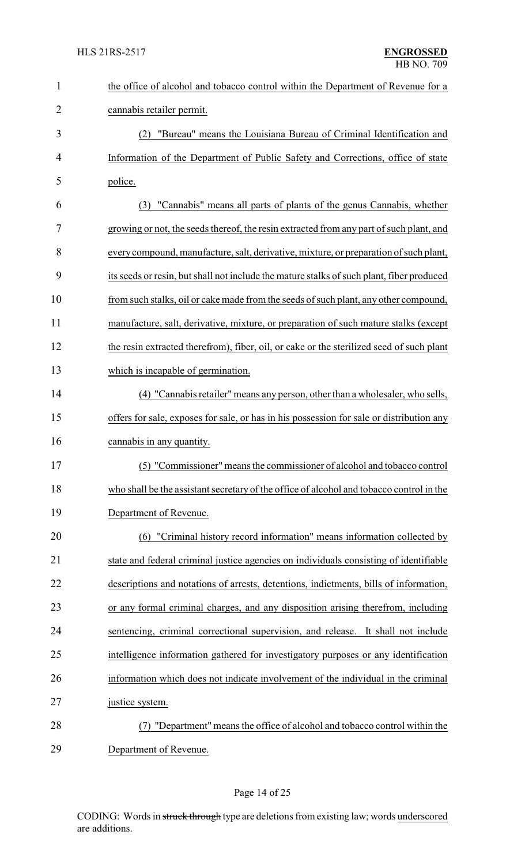| $\mathbf{1}$ | the office of alcohol and tobacco control within the Department of Revenue for a          |
|--------------|-------------------------------------------------------------------------------------------|
| 2            | cannabis retailer permit.                                                                 |
| 3            | "Bureau" means the Louisiana Bureau of Criminal Identification and<br>(2)                 |
| 4            | Information of the Department of Public Safety and Corrections, office of state           |
| 5            | police.                                                                                   |
| 6            | "Cannabis" means all parts of plants of the genus Cannabis, whether<br>(3)                |
| 7            | growing or not, the seeds thereof, the resin extracted from any part of such plant, and   |
| 8            | every compound, manufacture, salt, derivative, mixture, or preparation of such plant,     |
| 9            | its seeds or resin, but shall not include the mature stalks of such plant, fiber produced |
| 10           | from such stalks, oil or cake made from the seeds of such plant, any other compound,      |
| 11           | manufacture, salt, derivative, mixture, or preparation of such mature stalks (except      |
| 12           | the resin extracted therefrom), fiber, oil, or cake or the sterilized seed of such plant  |
| 13           | which is incapable of germination.                                                        |
| 14           | (4) "Cannabis retailer" means any person, other than a wholesaler, who sells,             |
| 15           | offers for sale, exposes for sale, or has in his possession for sale or distribution any  |
| 16           | cannabis in any quantity.                                                                 |
| 17           | (5) "Commissioner" means the commissioner of alcohol and tobacco control                  |
| 18           | who shall be the assistant secretary of the office of alcohol and tobacco control in the  |
| 19           | Department of Revenue.                                                                    |
| 20           | (6) "Criminal history record information" means information collected by                  |
| 21           | state and federal criminal justice agencies on individuals consisting of identifiable     |
| 22           | descriptions and notations of arrests, detentions, indictments, bills of information,     |
| 23           | or any formal criminal charges, and any disposition arising therefrom, including          |
| 24           | sentencing, criminal correctional supervision, and release. It shall not include          |
| 25           | intelligence information gathered for investigatory purposes or any identification        |
| 26           | information which does not indicate involvement of the individual in the criminal         |
| 27           | justice system.                                                                           |
| 28           | (7) "Department" means the office of alcohol and tobacco control within the               |
| 29           | Department of Revenue.                                                                    |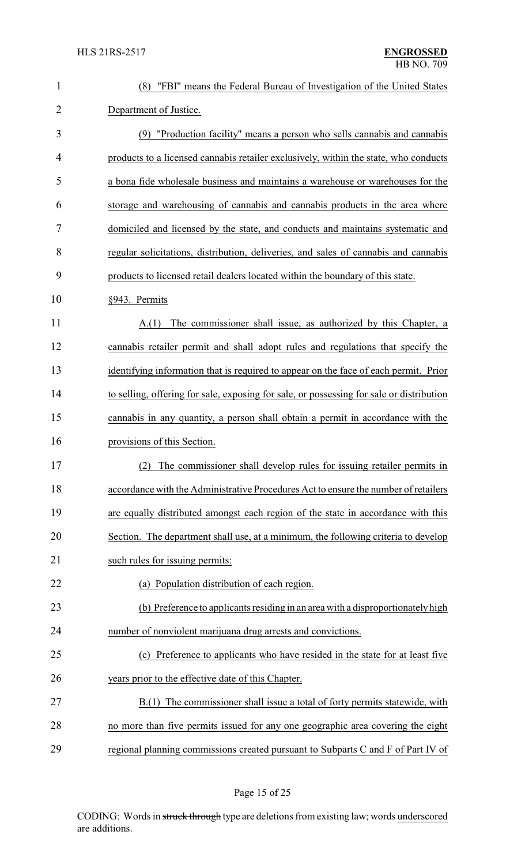| $\mathbf{1}$   | "FBI" means the Federal Bureau of Investigation of the United States<br>(8)              |
|----------------|------------------------------------------------------------------------------------------|
| $\overline{2}$ | Department of Justice.                                                                   |
| 3              | (9) "Production facility" means a person who sells cannabis and cannabis                 |
| 4              | products to a licensed cannabis retailer exclusively, within the state, who conducts     |
| 5              | a bona fide wholesale business and maintains a warehouse or warehouses for the           |
| 6              | storage and warehousing of cannabis and cannabis products in the area where              |
| 7              | domiciled and licensed by the state, and conducts and maintains systematic and           |
| 8              | regular solicitations, distribution, deliveries, and sales of cannabis and cannabis      |
| 9              | products to licensed retail dealers located within the boundary of this state.           |
| 10             | §943. Permits                                                                            |
| 11             | The commissioner shall issue, as authorized by this Chapter, a<br>A(1)                   |
| 12             | cannabis retailer permit and shall adopt rules and regulations that specify the          |
| 13             | identifying information that is required to appear on the face of each permit. Prior     |
| 14             | to selling, offering for sale, exposing for sale, or possessing for sale or distribution |
| 15             | cannabis in any quantity, a person shall obtain a permit in accordance with the          |
| 16             | provisions of this Section.                                                              |
| 17             | (2) The commissioner shall develop rules for issuing retailer permits in                 |
| 18             | accordance with the Administrative Procedures Act to ensure the number of retailers      |
| 19             | are equally distributed amongst each region of the state in accordance with this         |
| 20             | Section. The department shall use, at a minimum, the following criteria to develop       |
| 21             | such rules for issuing permits:                                                          |
| 22             | (a) Population distribution of each region.                                              |
| 23             | (b) Preference to applicants residing in an area with a disproportionately high          |
| 24             | number of nonviolent marijuana drug arrests and convictions.                             |
| 25             | (c) Preference to applicants who have resided in the state for at least five             |
| 26             | years prior to the effective date of this Chapter.                                       |
| 27             | The commissioner shall issue a total of forty permits statewide, with<br>B(1)            |
| 28             | no more than five permits issued for any one geographic area covering the eight          |
| 29             | regional planning commissions created pursuant to Subparts C and F of Part IV of         |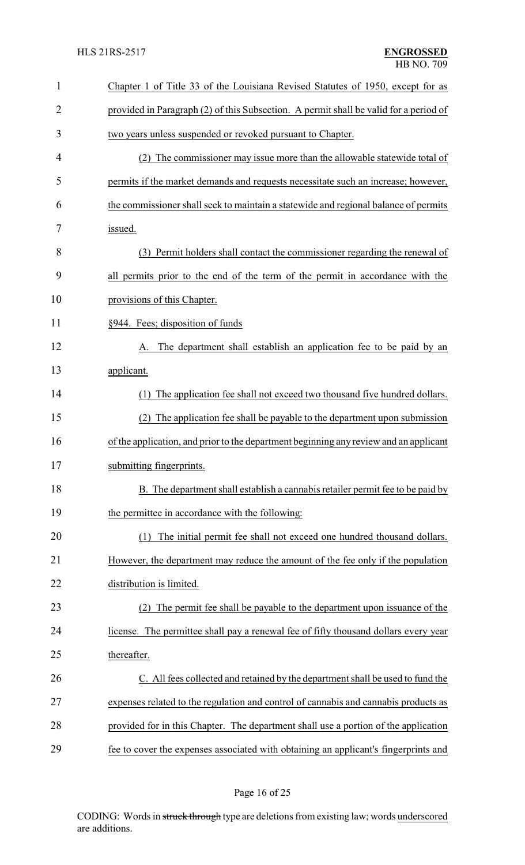| $\mathbf{1}$   | Chapter 1 of Title 33 of the Louisiana Revised Statutes of 1950, except for as        |
|----------------|---------------------------------------------------------------------------------------|
| $\overline{2}$ | provided in Paragraph (2) of this Subsection. A permit shall be valid for a period of |
| 3              | two years unless suspended or revoked pursuant to Chapter.                            |
| 4              | (2) The commissioner may issue more than the allowable statewide total of             |
| 5              | permits if the market demands and requests necessitate such an increase; however,     |
| 6              | the commissioner shall seek to maintain a statewide and regional balance of permits   |
| 7              | issued.                                                                               |
| 8              | (3) Permit holders shall contact the commissioner regarding the renewal of            |
| 9              | all permits prior to the end of the term of the permit in accordance with the         |
| 10             | provisions of this Chapter.                                                           |
| 11             | §944. Fees; disposition of funds                                                      |
| 12             | The department shall establish an application fee to be paid by an<br>A.              |
| 13             | applicant.                                                                            |
| 14             | The application fee shall not exceed two thousand five hundred dollars.<br>(1)        |
| 15             | The application fee shall be payable to the department upon submission                |
| 16             | of the application, and prior to the department beginning any review and an applicant |
| 17             | submitting fingerprints.                                                              |
| 18             | B. The department shall establish a cannabis retailer permit fee to be paid by        |
| 19             | the permittee in accordance with the following:                                       |
| 20             | The initial permit fee shall not exceed one hundred thousand dollars.<br>(1)          |
| 21             | However, the department may reduce the amount of the fee only if the population       |
| 22             | distribution is limited.                                                              |
| 23             | The permit fee shall be payable to the department upon issuance of the                |
| 24             | license. The permittee shall pay a renewal fee of fifty thousand dollars every year   |
| 25             | thereafter.                                                                           |
| 26             | C. All fees collected and retained by the department shall be used to fund the        |
| 27             | expenses related to the regulation and control of cannabis and cannabis products as   |
| 28             | provided for in this Chapter. The department shall use a portion of the application   |
| 29             | fee to cover the expenses associated with obtaining an applicant's fingerprints and   |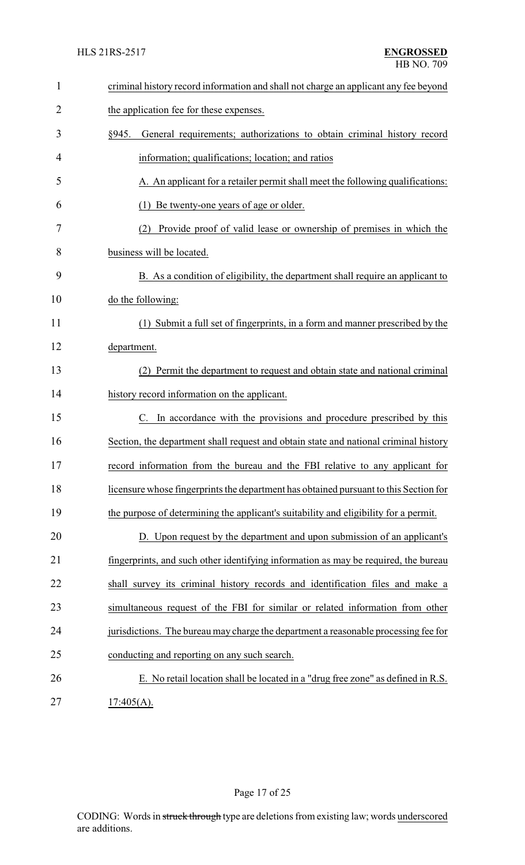| $\mathbf{1}$   | criminal history record information and shall not charge an applicant any fee beyond  |  |  |
|----------------|---------------------------------------------------------------------------------------|--|--|
| $\overline{2}$ | the application fee for these expenses.                                               |  |  |
| 3              | General requirements; authorizations to obtain criminal history record<br>§945.       |  |  |
| 4              | information; qualifications; location; and ratios                                     |  |  |
| 5              | A. An applicant for a retailer permit shall meet the following qualifications:        |  |  |
| 6              | Be twenty-one years of age or older.<br>(1)                                           |  |  |
| 7              | Provide proof of valid lease or ownership of premises in which the<br>(2)             |  |  |
| 8              | business will be located.                                                             |  |  |
| 9              | B. As a condition of eligibility, the department shall require an applicant to        |  |  |
| 10             | do the following:                                                                     |  |  |
| 11             | (1) Submit a full set of fingerprints, in a form and manner prescribed by the         |  |  |
| 12             | department.                                                                           |  |  |
| 13             | (2) Permit the department to request and obtain state and national criminal           |  |  |
| 14             | history record information on the applicant.                                          |  |  |
| 15             | In accordance with the provisions and procedure prescribed by this                    |  |  |
| 16             | Section, the department shall request and obtain state and national criminal history  |  |  |
| 17             | record information from the bureau and the FBI relative to any applicant for          |  |  |
| 18             | licensure whose fingerprints the department has obtained pursuant to this Section for |  |  |
| 19             | the purpose of determining the applicant's suitability and eligibility for a permit.  |  |  |
| 20             | D. Upon request by the department and upon submission of an applicant's               |  |  |
| 21             | fingerprints, and such other identifying information as may be required, the bureau   |  |  |
| 22             | shall survey its criminal history records and identification files and make a         |  |  |
| 23             | simultaneous request of the FBI for similar or related information from other         |  |  |
| 24             | jurisdictions. The bureau may charge the department a reasonable processing fee for   |  |  |
| 25             | conducting and reporting on any such search.                                          |  |  |
| 26             | E. No retail location shall be located in a "drug free zone" as defined in R.S.       |  |  |
| 27             | $17:405(A)$ .                                                                         |  |  |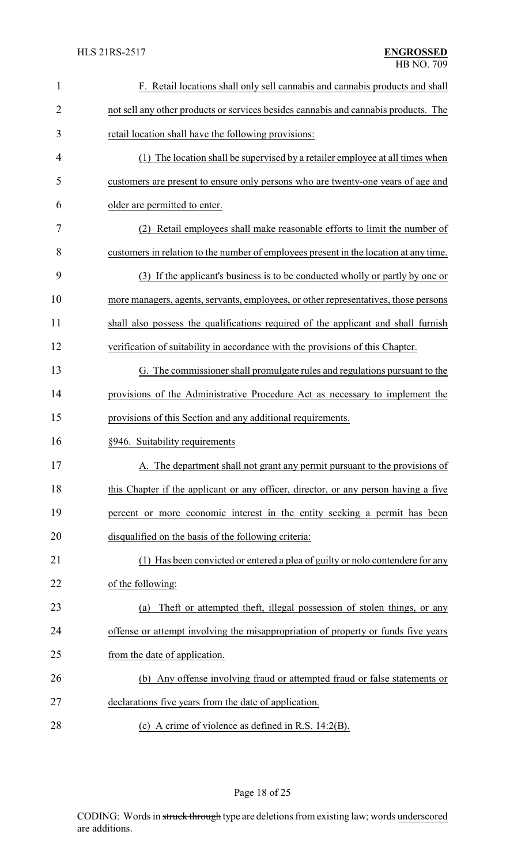| $\mathbf{1}$   | F. Retail locations shall only sell cannabis and cannabis products and shall          |
|----------------|---------------------------------------------------------------------------------------|
| $\overline{2}$ | not sell any other products or services besides cannabis and cannabis products. The   |
| 3              | retail location shall have the following provisions:                                  |
| 4              | (1) The location shall be supervised by a retailer employee at all times when         |
| 5              | customers are present to ensure only persons who are twenty-one years of age and      |
| 6              | older are permitted to enter.                                                         |
| 7              | (2) Retail employees shall make reasonable efforts to limit the number of             |
| 8              | customers in relation to the number of employees present in the location at any time. |
| 9              | (3) If the applicant's business is to be conducted wholly or partly by one or         |
| 10             | more managers, agents, servants, employees, or other representatives, those persons   |
| 11             | shall also possess the qualifications required of the applicant and shall furnish     |
| 12             | verification of suitability in accordance with the provisions of this Chapter.        |
| 13             | G. The commissioner shall promulgate rules and regulations pursuant to the            |
| 14             | provisions of the Administrative Procedure Act as necessary to implement the          |
| 15             | provisions of this Section and any additional requirements.                           |
| 16             | §946. Suitability requirements                                                        |
| 17             | A. The department shall not grant any permit pursuant to the provisions of            |
| 18             | this Chapter if the applicant or any officer, director, or any person having a five   |
| 19             | percent or more economic interest in the entity seeking a permit has been             |
| 20             | disqualified on the basis of the following criteria:                                  |
| 21             | (1) Has been convicted or entered a plea of guilty or nolo contendere for any         |
| 22             | of the following:                                                                     |
| 23             | Theft or attempted theft, illegal possession of stolen things, or any<br>(a)          |
| 24             | offense or attempt involving the misappropriation of property or funds five years     |
| 25             | from the date of application.                                                         |
| 26             | (b) Any offense involving fraud or attempted fraud or false statements or             |
| 27             | declarations five years from the date of application.                                 |
| 28             | (c) A crime of violence as defined in R.S. $14:2(B)$ .                                |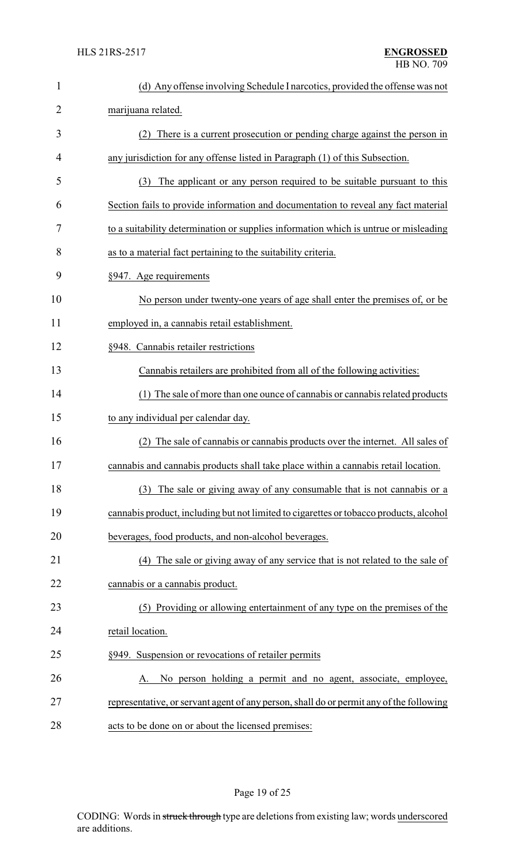| 1              | (d) Any offense involving Schedule I narcotics, provided the offense was not            |
|----------------|-----------------------------------------------------------------------------------------|
| $\overline{2}$ | marijuana related.                                                                      |
| 3              | (2) There is a current prosecution or pending charge against the person in              |
| 4              | any jurisdiction for any offense listed in Paragraph (1) of this Subsection.            |
| 5              | The applicant or any person required to be suitable pursuant to this<br>(3)             |
| 6              | Section fails to provide information and documentation to reveal any fact material      |
| 7              | to a suitability determination or supplies information which is untrue or misleading    |
| 8              | as to a material fact pertaining to the suitability criteria.                           |
| 9              | §947. Age requirements                                                                  |
| 10             | No person under twenty-one years of age shall enter the premises of, or be              |
| 11             | employed in, a cannabis retail establishment.                                           |
| 12             | §948. Cannabis retailer restrictions                                                    |
| 13             | Cannabis retailers are prohibited from all of the following activities:                 |
| 14             | The sale of more than one ounce of cannabis or cannabis related products                |
| 15             | to any individual per calendar day.                                                     |
| 16             | The sale of cannabis or cannabis products over the internet. All sales of               |
| 17             | cannabis and cannabis products shall take place within a cannabis retail location.      |
| 18             | (3) The sale or giving away of any consumable that is not cannabis or a                 |
| 19             | cannabis product, including but not limited to cigarettes or tobacco products, alcohol  |
| 20             | beverages, food products, and non-alcohol beverages.                                    |
| 21             | (4) The sale or giving away of any service that is not related to the sale of           |
| 22             | cannabis or a cannabis product.                                                         |
| 23             | (5) Providing or allowing entertainment of any type on the premises of the              |
| 24             | retail location.                                                                        |
| 25             | §949. Suspension or revocations of retailer permits                                     |
| 26             | No person holding a permit and no agent, associate, employee,<br>A.                     |
| 27             | representative, or servant agent of any person, shall do or permit any of the following |
| $\bigcap$      |                                                                                         |

28 acts to be done on or about the licensed premises: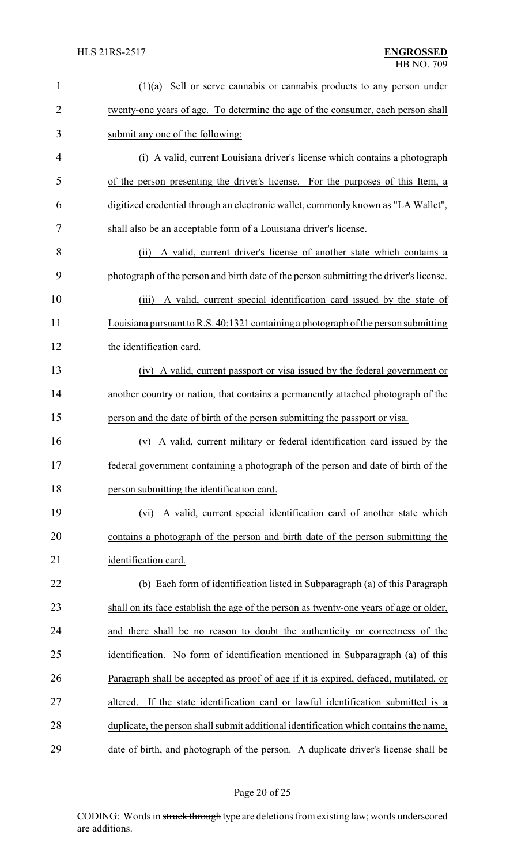| $\mathbf{1}$   | Sell or serve cannabis or cannabis products to any person under<br>(1)(a)              |  |
|----------------|----------------------------------------------------------------------------------------|--|
| $\overline{2}$ | twenty-one years of age. To determine the age of the consumer, each person shall       |  |
| 3              | submit any one of the following:                                                       |  |
| 4              | (i) A valid, current Louisiana driver's license which contains a photograph            |  |
| 5              | of the person presenting the driver's license. For the purposes of this Item, a        |  |
| 6              | digitized credential through an electronic wallet, commonly known as "LA Wallet",      |  |
| 7              | shall also be an acceptable form of a Louisiana driver's license.                      |  |
| 8              | A valid, current driver's license of another state which contains a<br>(ii)            |  |
| 9              | photograph of the person and birth date of the person submitting the driver's license. |  |
| 10             | A valid, current special identification card issued by the state of<br>(iii)           |  |
| 11             | Louisiana pursuant to R.S. 40:1321 containing a photograph of the person submitting    |  |
| 12             | the identification card.                                                               |  |
| 13             | (iv) A valid, current passport or visa issued by the federal government or             |  |
| 14             | another country or nation, that contains a permanently attached photograph of the      |  |
| 15             | person and the date of birth of the person submitting the passport or visa.            |  |
| 16             | A valid, current military or federal identification card issued by the<br>(v)          |  |
| 17             | federal government containing a photograph of the person and date of birth of the      |  |
| 18             | person submitting the identification card.                                             |  |
| 19             | A valid, current special identification card of another state which<br>(vi)            |  |
| 20             | contains a photograph of the person and birth date of the person submitting the        |  |
| 21             | identification card.                                                                   |  |
| 22             | (b) Each form of identification listed in Subparagraph (a) of this Paragraph           |  |
| 23             | shall on its face establish the age of the person as twenty-one years of age or older, |  |
| 24             | and there shall be no reason to doubt the authenticity or correctness of the           |  |
| 25             | identification. No form of identification mentioned in Subparagraph (a) of this        |  |
| 26             | Paragraph shall be accepted as proof of age if it is expired, defaced, mutilated, or   |  |
| 27             | If the state identification card or lawful identification submitted is a<br>altered.   |  |
| 28             | duplicate, the person shall submit additional identification which contains the name,  |  |
| 29             | date of birth, and photograph of the person. A duplicate driver's license shall be     |  |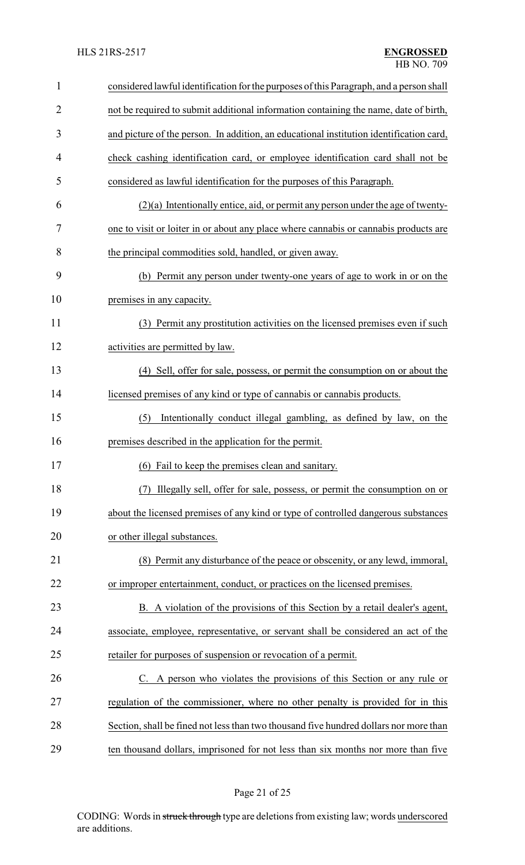| $\mathbf{1}$   | considered lawful identification for the purposes of this Paragraph, and a person shall |  |
|----------------|-----------------------------------------------------------------------------------------|--|
| $\overline{2}$ | not be required to submit additional information containing the name, date of birth,    |  |
| 3              | and picture of the person. In addition, an educational institution identification card, |  |
| $\overline{4}$ | check cashing identification card, or employee identification card shall not be         |  |
| 5              | considered as lawful identification for the purposes of this Paragraph.                 |  |
| 6              | $(2)(a)$ Intentionally entice, aid, or permit any person under the age of twenty-       |  |
| 7              | one to visit or loiter in or about any place where cannabis or cannabis products are    |  |
| 8              | the principal commodities sold, handled, or given away.                                 |  |
| 9              | (b) Permit any person under twenty-one years of age to work in or on the                |  |
| 10             | premises in any capacity.                                                               |  |
| 11             | (3) Permit any prostitution activities on the licensed premises even if such            |  |
| 12             | activities are permitted by law.                                                        |  |
| 13             | (4) Sell, offer for sale, possess, or permit the consumption on or about the            |  |
| 14             | licensed premises of any kind or type of cannabis or cannabis products.                 |  |
| 15             | Intentionally conduct illegal gambling, as defined by law, on the<br>(5)                |  |
| 16             | premises described in the application for the permit.                                   |  |
| 17             | (6) Fail to keep the premises clean and sanitary.                                       |  |
| 18             | Illegally sell, offer for sale, possess, or permit the consumption on or<br>(7)         |  |
| 19             | about the licensed premises of any kind or type of controlled dangerous substances      |  |
| 20             | or other illegal substances.                                                            |  |
| 21             | (8) Permit any disturbance of the peace or obscenity, or any lewd, immoral,             |  |
| 22             | or improper entertainment, conduct, or practices on the licensed premises.              |  |
| 23             | B. A violation of the provisions of this Section by a retail dealer's agent,            |  |
| 24             | associate, employee, representative, or servant shall be considered an act of the       |  |
| 25             | retailer for purposes of suspension or revocation of a permit.                          |  |
| 26             | C. A person who violates the provisions of this Section or any rule or                  |  |
| 27             | regulation of the commissioner, where no other penalty is provided for in this          |  |
| 28             | Section, shall be fined not less than two thousand five hundred dollars nor more than   |  |
| 29             | ten thousand dollars, imprisoned for not less than six months nor more than five        |  |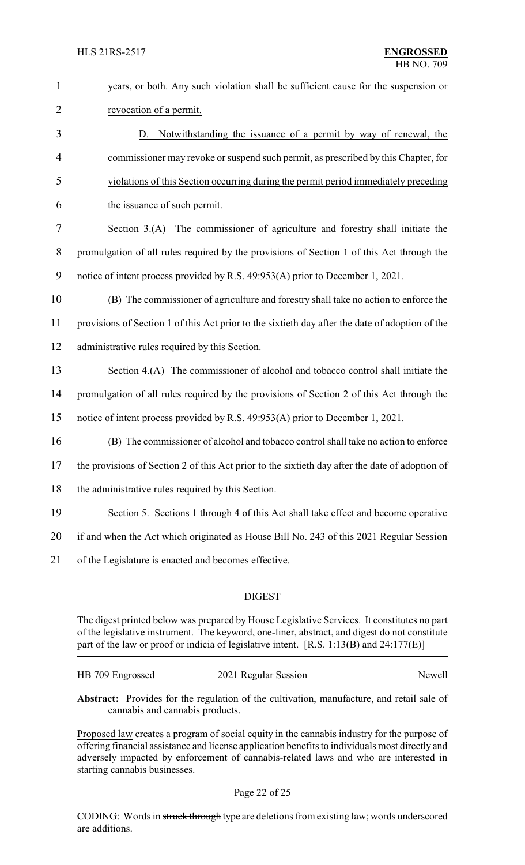| $\mathbf{1}$   | years, or both. Any such violation shall be sufficient cause for the suspension or              |  |
|----------------|-------------------------------------------------------------------------------------------------|--|
| $\overline{2}$ | revocation of a permit.                                                                         |  |
| 3              | D. Notwithstanding the issuance of a permit by way of renewal, the                              |  |
| 4              | commissioner may revoke or suspend such permit, as prescribed by this Chapter, for              |  |
| 5              | violations of this Section occurring during the permit period immediately preceding             |  |
| 6              | the issuance of such permit.                                                                    |  |
| 7              | Section 3.(A) The commissioner of agriculture and forestry shall initiate the                   |  |
| 8              | promulgation of all rules required by the provisions of Section 1 of this Act through the       |  |
| 9              | notice of intent process provided by R.S. 49:953(A) prior to December 1, 2021.                  |  |
| 10             | (B) The commissioner of agriculture and forestry shall take no action to enforce the            |  |
| 11             | provisions of Section 1 of this Act prior to the sixtieth day after the date of adoption of the |  |
| 12             | administrative rules required by this Section.                                                  |  |
| 13             | Section 4.(A) The commissioner of alcohol and tobacco control shall initiate the                |  |
| 14             | promulgation of all rules required by the provisions of Section 2 of this Act through the       |  |
| 15             | notice of intent process provided by R.S. 49:953(A) prior to December 1, 2021.                  |  |
| 16             | (B) The commissioner of alcohol and tobacco control shall take no action to enforce             |  |
| 17             | the provisions of Section 2 of this Act prior to the sixtieth day after the date of adoption of |  |
| 18             | the administrative rules required by this Section.                                              |  |
| 19             | Section 5. Sections 1 through 4 of this Act shall take effect and become operative              |  |
| 20             | if and when the Act which originated as House Bill No. 243 of this 2021 Regular Session         |  |
| 21             | of the Legislature is enacted and becomes effective.                                            |  |
|                |                                                                                                 |  |

### DIGEST

The digest printed below was prepared by House Legislative Services. It constitutes no part of the legislative instrument. The keyword, one-liner, abstract, and digest do not constitute part of the law or proof or indicia of legislative intent. [R.S. 1:13(B) and 24:177(E)]

| HB 709 Engrossed | 2021 Regular Session | Newell |
|------------------|----------------------|--------|
|                  |                      |        |

**Abstract:** Provides for the regulation of the cultivation, manufacture, and retail sale of cannabis and cannabis products.

Proposed law creates a program of social equity in the cannabis industry for the purpose of offering financial assistance and license application benefits to individuals most directly and adversely impacted by enforcement of cannabis-related laws and who are interested in starting cannabis businesses.

CODING: Words in struck through type are deletions from existing law; words underscored are additions.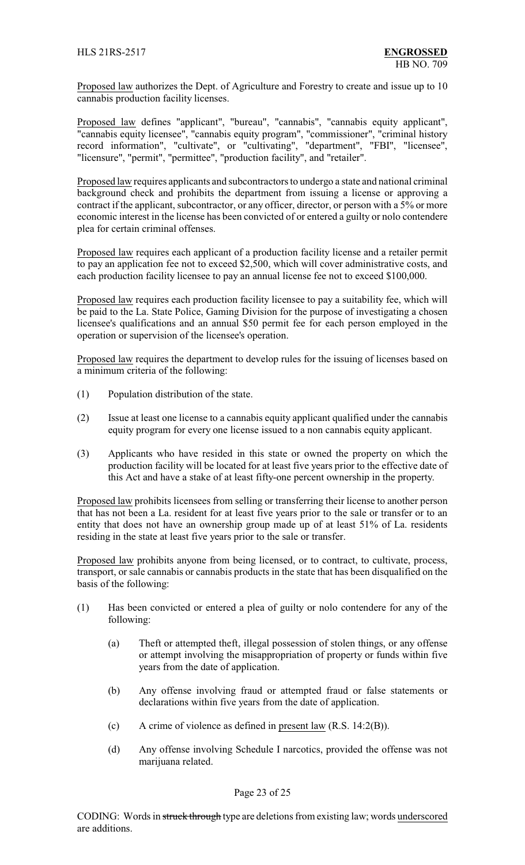Proposed law authorizes the Dept. of Agriculture and Forestry to create and issue up to 10 cannabis production facility licenses.

Proposed law defines "applicant", "bureau", "cannabis", "cannabis equity applicant", "cannabis equity licensee", "cannabis equity program", "commissioner", "criminal history record information", "cultivate", or "cultivating", "department", "FBI", "licensee", "licensure", "permit", "permittee", "production facility", and "retailer".

Proposed law requires applicants and subcontractors to undergo a state and national criminal background check and prohibits the department from issuing a license or approving a contract if the applicant, subcontractor, or any officer, director, or person with a 5% or more economic interest in the license has been convicted of or entered a guilty or nolo contendere plea for certain criminal offenses.

Proposed law requires each applicant of a production facility license and a retailer permit to pay an application fee not to exceed \$2,500, which will cover administrative costs, and each production facility licensee to pay an annual license fee not to exceed \$100,000.

Proposed law requires each production facility licensee to pay a suitability fee, which will be paid to the La. State Police, Gaming Division for the purpose of investigating a chosen licensee's qualifications and an annual \$50 permit fee for each person employed in the operation or supervision of the licensee's operation.

Proposed law requires the department to develop rules for the issuing of licenses based on a minimum criteria of the following:

- (1) Population distribution of the state.
- (2) Issue at least one license to a cannabis equity applicant qualified under the cannabis equity program for every one license issued to a non cannabis equity applicant.
- (3) Applicants who have resided in this state or owned the property on which the production facility will be located for at least five years prior to the effective date of this Act and have a stake of at least fifty-one percent ownership in the property.

Proposed law prohibits licensees from selling or transferring their license to another person that has not been a La. resident for at least five years prior to the sale or transfer or to an entity that does not have an ownership group made up of at least 51% of La. residents residing in the state at least five years prior to the sale or transfer.

Proposed law prohibits anyone from being licensed, or to contract, to cultivate, process, transport, or sale cannabis or cannabis products in the state that has been disqualified on the basis of the following:

- (1) Has been convicted or entered a plea of guilty or nolo contendere for any of the following:
	- (a) Theft or attempted theft, illegal possession of stolen things, or any offense or attempt involving the misappropriation of property or funds within five years from the date of application.
	- (b) Any offense involving fraud or attempted fraud or false statements or declarations within five years from the date of application.
	- (c) A crime of violence as defined in present law (R.S. 14:2(B)).
	- (d) Any offense involving Schedule I narcotics, provided the offense was not marijuana related.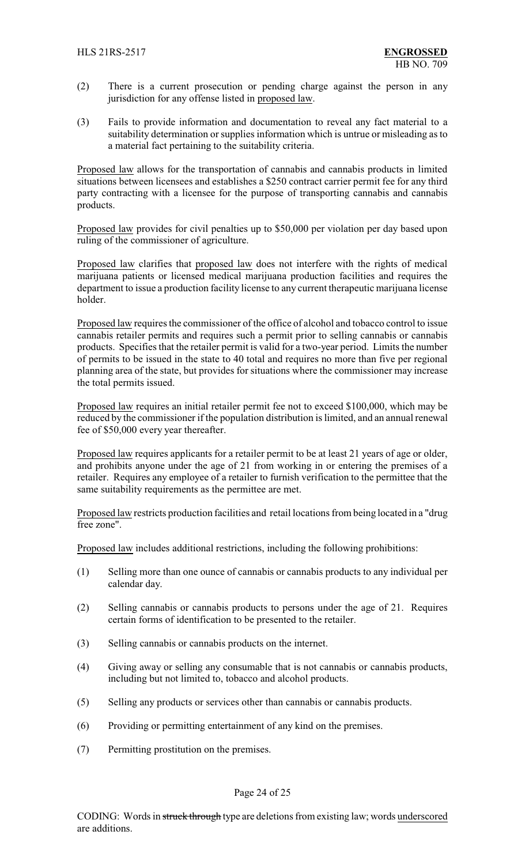- (2) There is a current prosecution or pending charge against the person in any jurisdiction for any offense listed in proposed law.
- (3) Fails to provide information and documentation to reveal any fact material to a suitability determination or supplies information which is untrue or misleading as to a material fact pertaining to the suitability criteria.

Proposed law allows for the transportation of cannabis and cannabis products in limited situations between licensees and establishes a \$250 contract carrier permit fee for any third party contracting with a licensee for the purpose of transporting cannabis and cannabis products.

Proposed law provides for civil penalties up to \$50,000 per violation per day based upon ruling of the commissioner of agriculture.

Proposed law clarifies that proposed law does not interfere with the rights of medical marijuana patients or licensed medical marijuana production facilities and requires the department to issue a production facility license to any current therapeutic marijuana license holder.

Proposed law requires the commissioner of the office of alcohol and tobacco control to issue cannabis retailer permits and requires such a permit prior to selling cannabis or cannabis products. Specifies that the retailer permit is valid for a two-year period. Limits the number of permits to be issued in the state to 40 total and requires no more than five per regional planning area of the state, but provides for situations where the commissioner may increase the total permits issued.

Proposed law requires an initial retailer permit fee not to exceed \$100,000, which may be reduced by the commissioner if the population distribution is limited, and an annual renewal fee of \$50,000 every year thereafter.

Proposed law requires applicants for a retailer permit to be at least 21 years of age or older, and prohibits anyone under the age of 21 from working in or entering the premises of a retailer. Requires any employee of a retailer to furnish verification to the permittee that the same suitability requirements as the permittee are met.

Proposed law restricts production facilities and retail locations from being located in a "drug free zone".

Proposed law includes additional restrictions, including the following prohibitions:

- (1) Selling more than one ounce of cannabis or cannabis products to any individual per calendar day.
- (2) Selling cannabis or cannabis products to persons under the age of 21. Requires certain forms of identification to be presented to the retailer.
- (3) Selling cannabis or cannabis products on the internet.
- (4) Giving away or selling any consumable that is not cannabis or cannabis products, including but not limited to, tobacco and alcohol products.
- (5) Selling any products or services other than cannabis or cannabis products.
- (6) Providing or permitting entertainment of any kind on the premises.
- (7) Permitting prostitution on the premises.